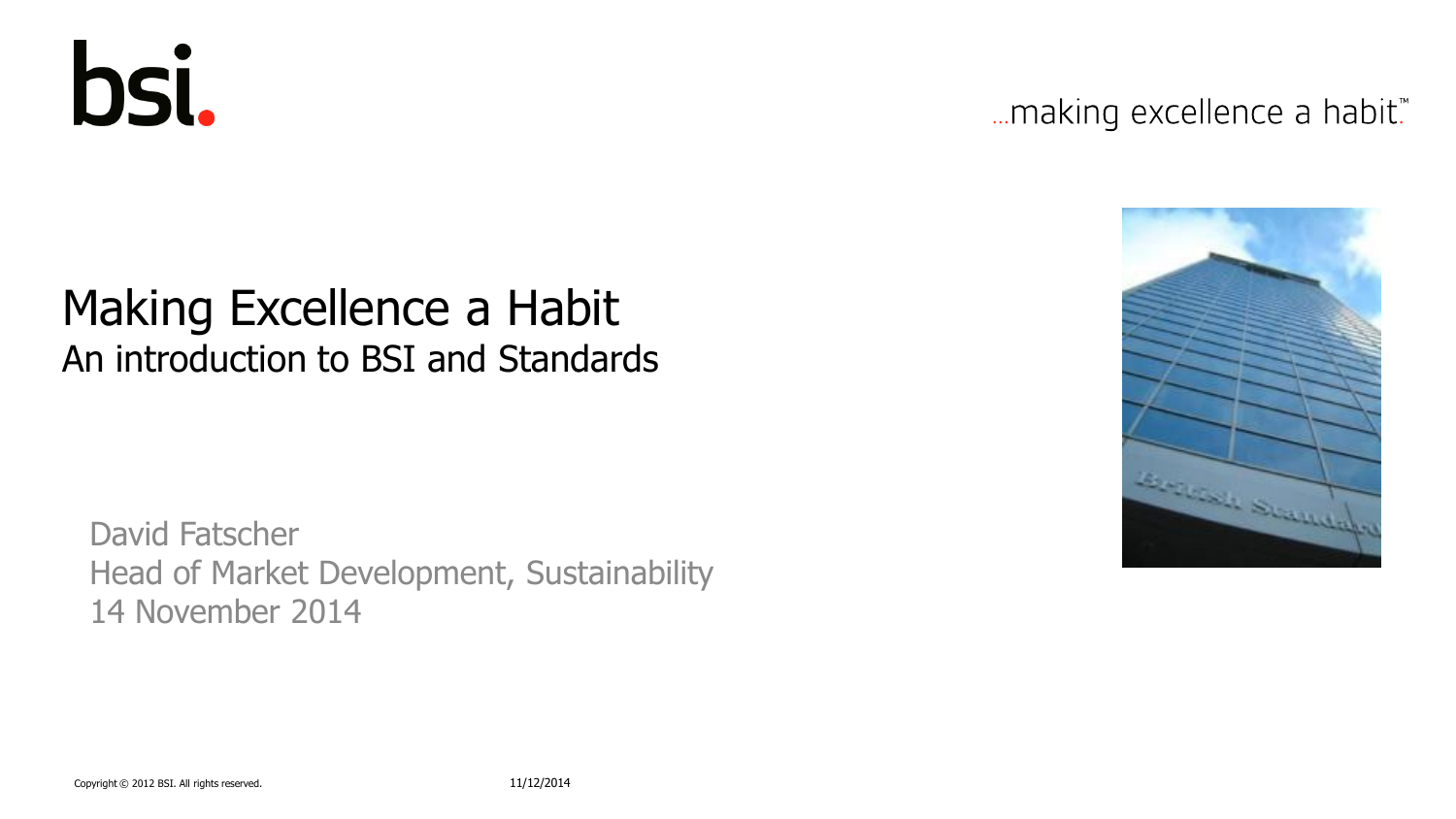

... making excellence a habit."

### Making Excellence a Habit An introduction to BSI and Standards

David Fatscher Head of Market Development, Sustainability 14 November 2014

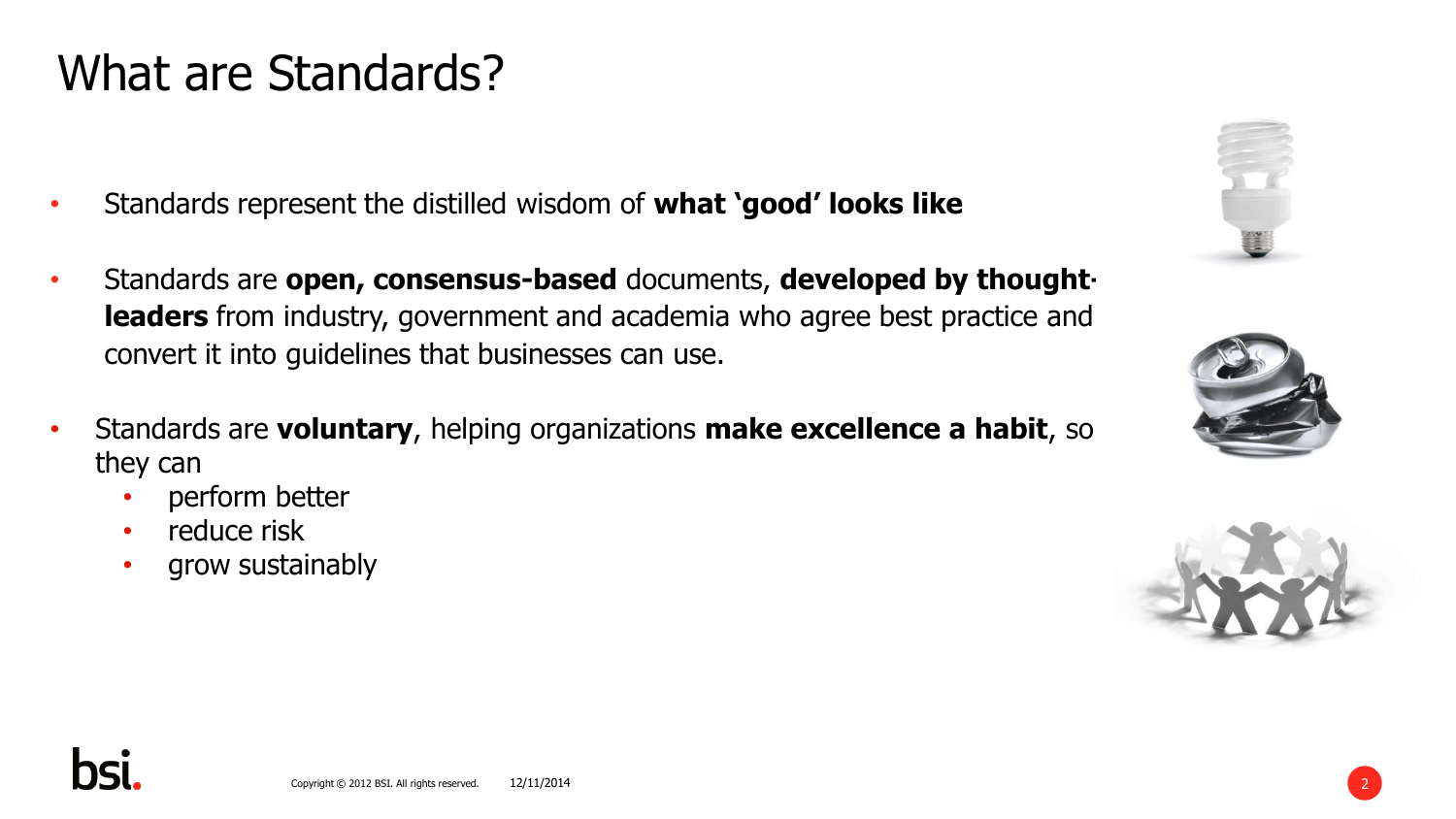## What are Standards?

- Standards represent the distilled wisdom of **what 'good' looks like**
- Standards are **open, consensus-based** documents, **developed by thoughtleaders** from industry, government and academia who agree best practice and convert it into guidelines that businesses can use.
- Standards are **voluntary**, helping organizations **make excellence a habit**, so they can
	- perform better
	- reduce risk
	- grow sustainably







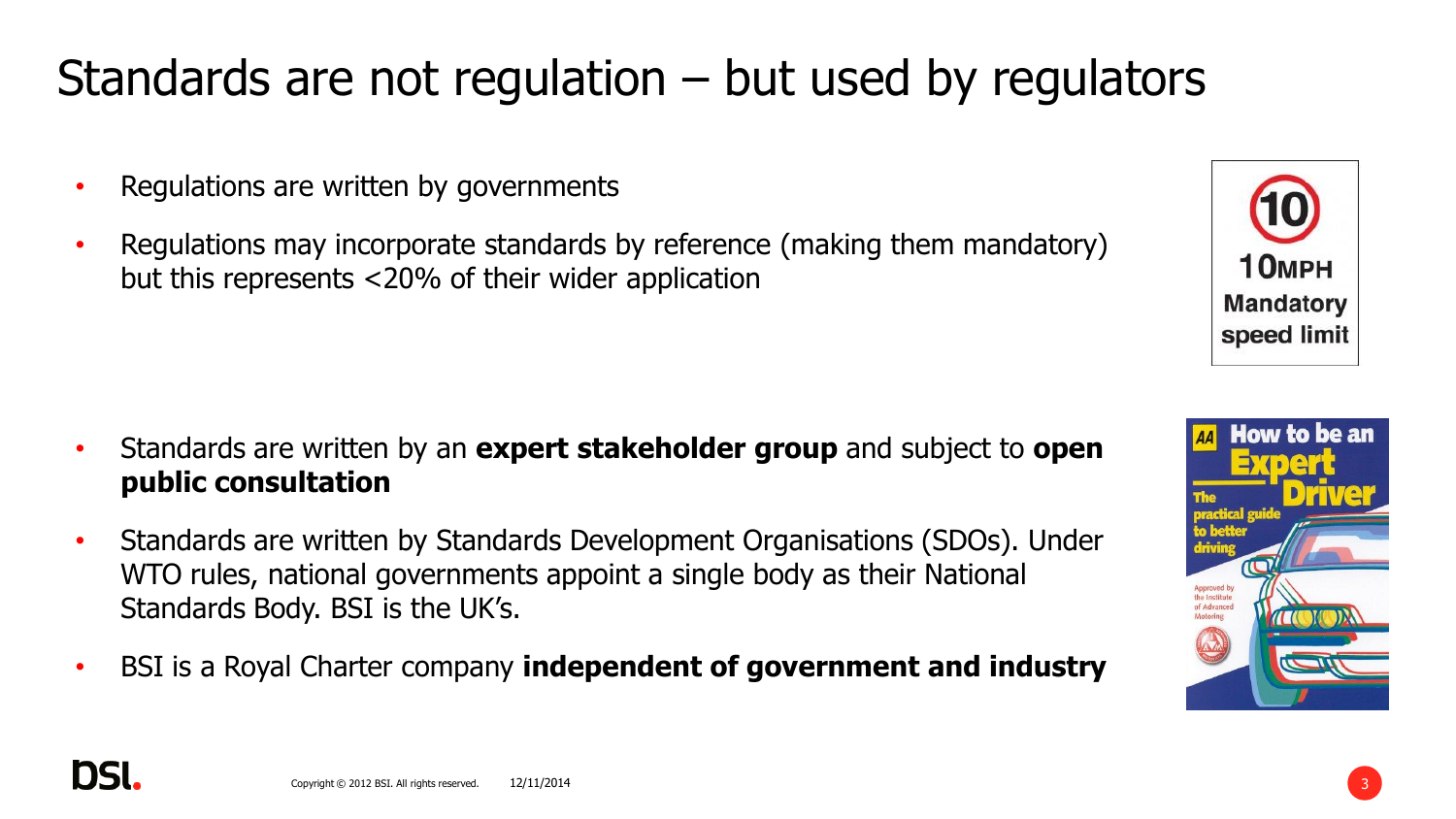## Standards are not regulation – but used by regulators

- Regulations are written by governments
- Regulations may incorporate standards by reference (making them mandatory) but this represents <20% of their wider application

- Standards are written by an **expert stakeholder group** and subject to **open public consultation**
- Standards are written by Standards Development Organisations (SDOs). Under WTO rules, national governments appoint a single body as their National Standards Body. BSI is the UK's.
- BSI is a Royal Charter company **independent of government and industry**

12/11/2014

DSI



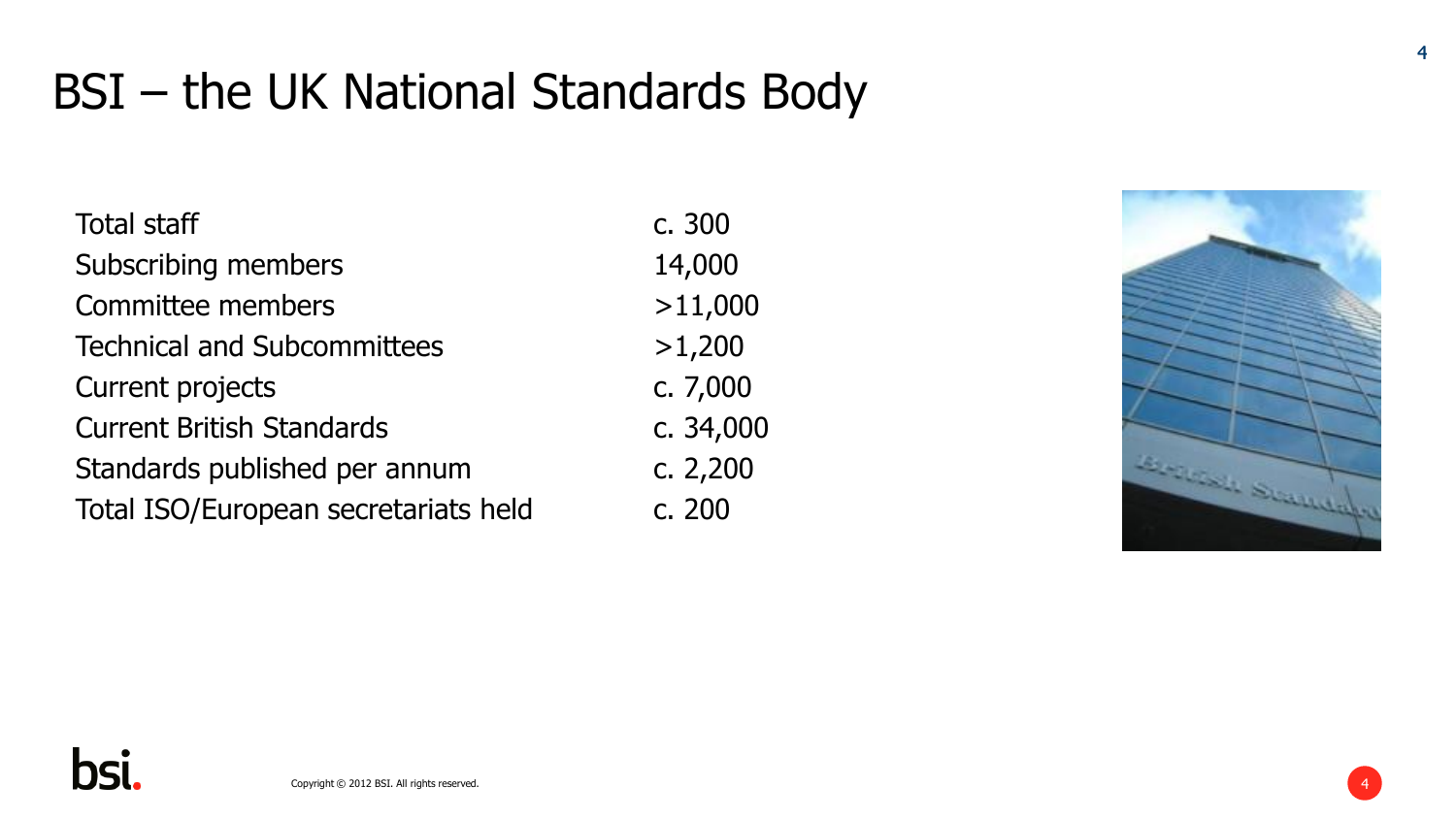## BSI – the UK National Standards Body

| <b>Total staff</b>                   | c. 300     |
|--------------------------------------|------------|
| Subscribing members                  | 14,000     |
| Committee members                    | >11,000    |
| <b>Technical and Subcommittees</b>   | >1,200     |
| Current projects                     | c. 7,000   |
| <b>Current British Standards</b>     | c. 34,000  |
| Standards published per annum        | c. $2,200$ |
| Total ISO/European secretariats held | c. 200     |

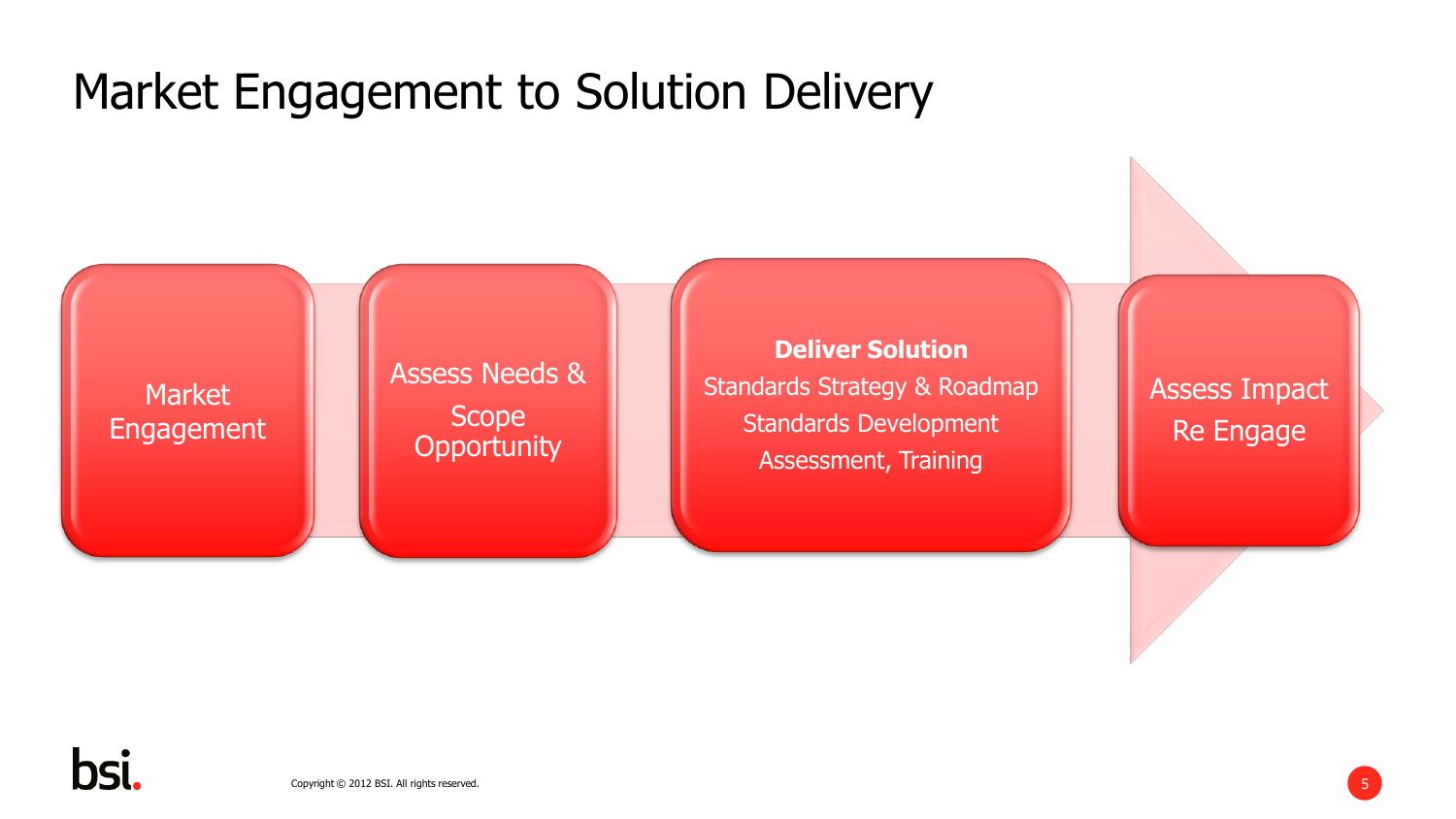## Market Engagement to Solution Delivery

**Market** Engagement

#### Assess Needs & Scope **Opportunity**

**Deliver Solution** Standards Strategy & Roadmap Standards Development Assessment, Training

Assess Impact Re Engage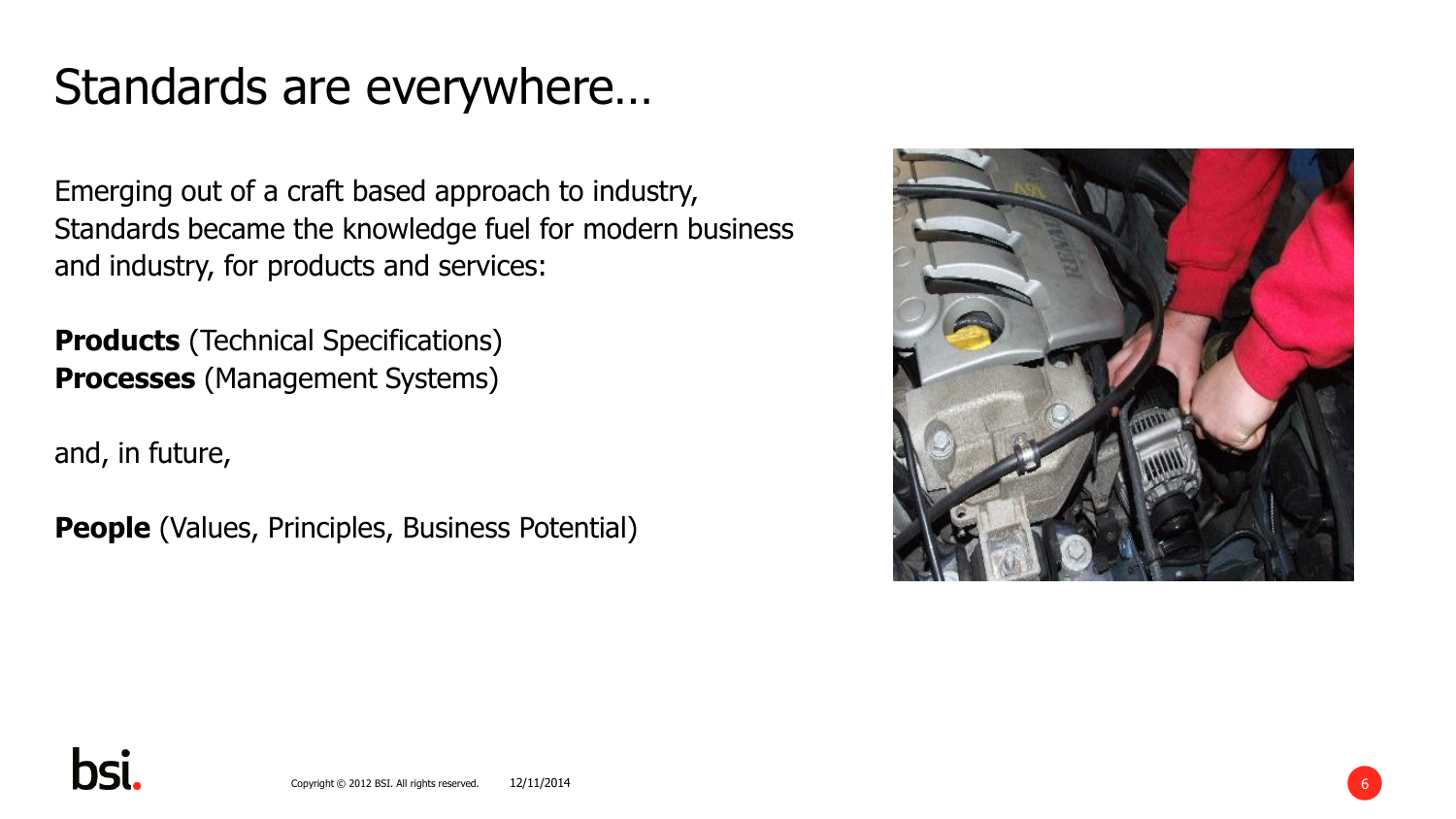## Standards are everywhere…

Emerging out of a craft based approach to industry, Standards became the knowledge fuel for modern business and industry, for products and services:

**Products** (Technical Specifications) **Processes** (Management Systems)

and, in future,

**People** (Values, Principles, Business Potential)



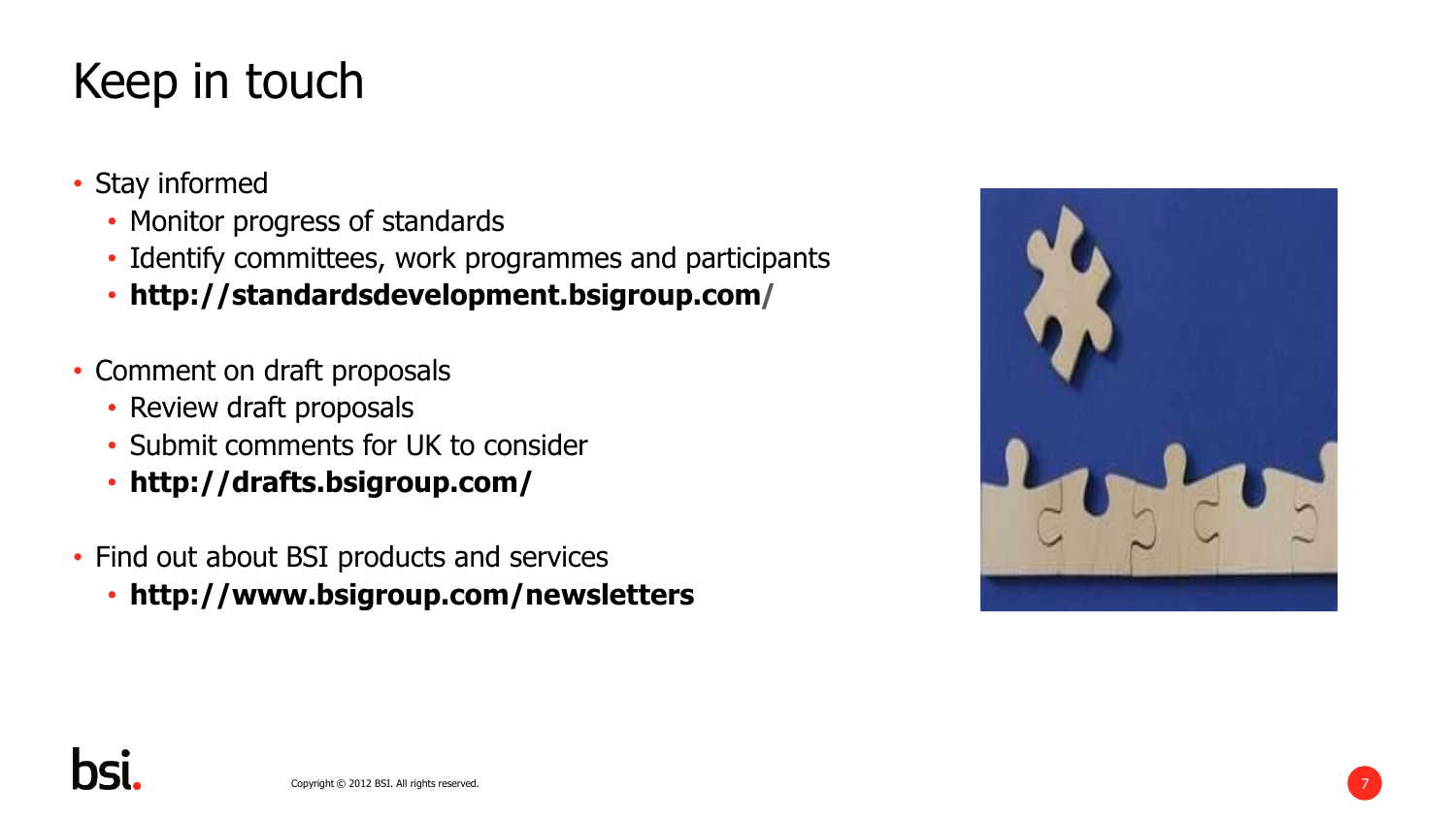# Keep in touch

- Stay informed
	- Monitor progress of standards
	- Identify committees, work programmes and participants
	- **http://standardsdevelopment.bsigroup.com/**
- Comment on draft proposals
	- Review draft proposals
	- Submit comments for UK to consider
	- **http://drafts.bsigroup.com/**
- Find out about BSI products and services
	- **http://www.bsigroup.com/newsletters**